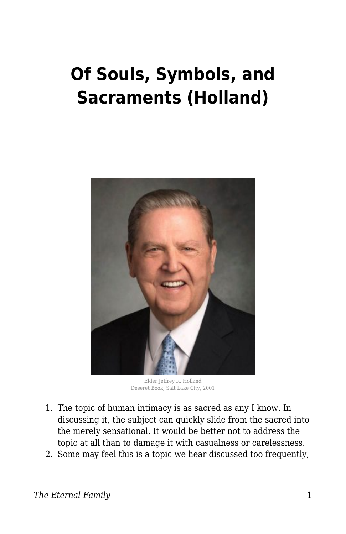# **Of Souls, Symbols, and Sacraments (Holland)**



Elder Jeffrey R. Holland Deseret Book, Salt Lake City, 2001

- 1. The topic of human intimacy is as sacred as any I know. In discussing it, the subject can quickly slide from the sacred into the merely sensational. It would be better not to address the topic at all than to damage it with casualness or carelessness.
- 2. Some may feel this is a topic we hear discussed too frequently,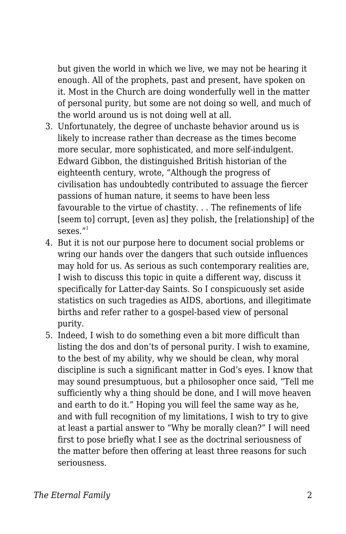but given the world in which we live, we may not be hearing it enough. All of the prophets, past and present, have spoken on it. Most in the Church are doing wonderfully well in the matter of personal purity, but some are not doing so well, and much of the world around us is not doing well at all.

- 3. Unfortunately, the degree of unchaste behavior around us is likely to increase rather than decrease as the times become more secular, more sophisticated, and more self-indulgent. Edward Gibbon, the distinguished British historian of the eighteenth century, wrote, "Although the progress of civilisation has undoubtedly contributed to assuage the fiercer passions of human nature, it seems to have been less favourable to the virtue of chastity. . . The refinements of life [seem to] corrupt, [even as] they polish, the [relationship] of the sexes. $^{\prime\prime}$ <sup>1</sup>
- 4. But it is not our purpose here to document social problems or wring our hands over the dangers that such outside influences may hold for us. As serious as such contemporary realities are, I wish to discuss this topic in quite a different way, discuss it specifically for Latter-day Saints. So I conspicuously set aside statistics on such tragedies as AIDS, abortions, and illegitimate births and refer rather to a gospel-based view of personal purity.
- 5. Indeed, I wish to do something even a bit more difficult than listing the dos and don'ts of personal purity. I wish to examine, to the best of my ability, why we should be clean, why moral discipline is such a significant matter in God's eyes. I know that may sound presumptuous, but a philosopher once said, "Tell me sufficiently why a thing should be done, and I will move heaven and earth to do it." Hoping you will feel the same way as he, and with full recognition of my limitations, I wish to try to give at least a partial answer to "Why be morally clean?" I will need first to pose briefly what I see as the doctrinal seriousness of the matter before then offering at least three reasons for such seriousness.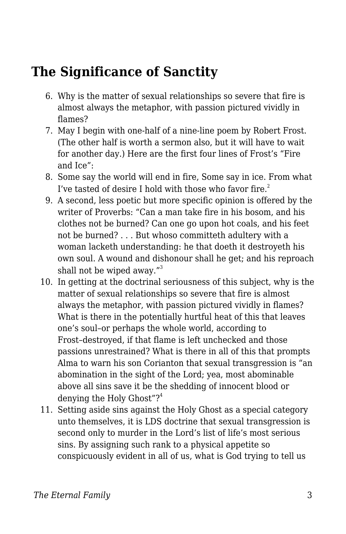### **The Significance of Sanctity**

- 6. Why is the matter of sexual relationships so severe that fire is almost always the metaphor, with passion pictured vividly in flames?
- 7. May I begin with one-half of a nine-line poem by Robert Frost. (The other half is worth a sermon also, but it will have to wait for another day.) Here are the first four lines of Frost's "Fire and Ice":
- 8. Some say the world will end in fire, Some say in ice. From what I've tasted of desire I hold with those who favor fire.<sup>2</sup>
- 9. A second, less poetic but more specific opinion is offered by the writer of Proverbs: "Can a man take fire in his bosom, and his clothes not be burned? Can one go upon hot coals, and his feet not be burned? . . . But whoso committeth adultery with a woman lacketh understanding: he that doeth it destroyeth his own soul. A wound and dishonour shall he get; and his reproach shall not be wiped away."<sup>3</sup>
- 10. In getting at the doctrinal seriousness of this subject, why is the matter of sexual relationships so severe that fire is almost always the metaphor, with passion pictured vividly in flames? What is there in the potentially hurtful heat of this that leaves one's soul–or perhaps the whole world, according to Frost–destroyed, if that flame is left unchecked and those passions unrestrained? What is there in all of this that prompts Alma to warn his son Corianton that sexual transgression is "an abomination in the sight of the Lord; yea, most abominable above all sins save it be the shedding of innocent blood or denying the Holy Ghost"?<sup>4</sup>
- 11. Setting aside sins against the Holy Ghost as a special category unto themselves, it is LDS doctrine that sexual transgression is second only to murder in the Lord's list of life's most serious sins. By assigning such rank to a physical appetite so conspicuously evident in all of us, what is God trying to tell us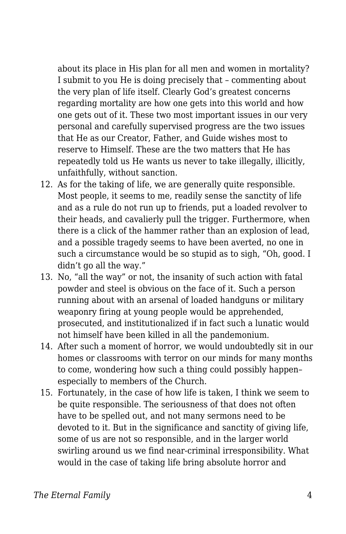about its place in His plan for all men and women in mortality? I submit to you He is doing precisely that – commenting about the very plan of life itself. Clearly God's greatest concerns regarding mortality are how one gets into this world and how one gets out of it. These two most important issues in our very personal and carefully supervised progress are the two issues that He as our Creator, Father, and Guide wishes most to reserve to Himself. These are the two matters that He has repeatedly told us He wants us never to take illegally, illicitly, unfaithfully, without sanction.

- 12. As for the taking of life, we are generally quite responsible. Most people, it seems to me, readily sense the sanctity of life and as a rule do not run up to friends, put a loaded revolver to their heads, and cavalierly pull the trigger. Furthermore, when there is a click of the hammer rather than an explosion of lead, and a possible tragedy seems to have been averted, no one in such a circumstance would be so stupid as to sigh, "Oh, good. I didn't go all the way."
- 13. No, "all the way" or not, the insanity of such action with fatal powder and steel is obvious on the face of it. Such a person running about with an arsenal of loaded handguns or military weaponry firing at young people would be apprehended, prosecuted, and institutionalized if in fact such a lunatic would not himself have been killed in all the pandemonium.
- 14. After such a moment of horror, we would undoubtedly sit in our homes or classrooms with terror on our minds for many months to come, wondering how such a thing could possibly happen– especially to members of the Church.
- 15. Fortunately, in the case of how life is taken, I think we seem to be quite responsible. The seriousness of that does not often have to be spelled out, and not many sermons need to be devoted to it. But in the significance and sanctity of giving life, some of us are not so responsible, and in the larger world swirling around us we find near-criminal irresponsibility. What would in the case of taking life bring absolute horror and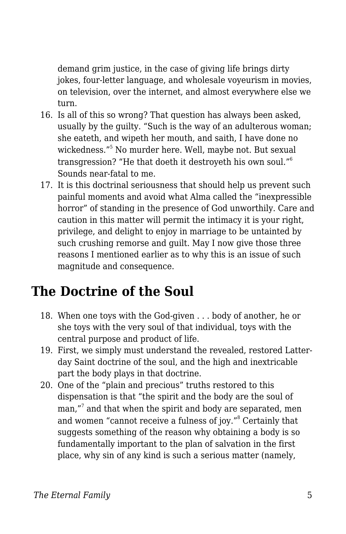demand grim justice, in the case of giving life brings dirty jokes, four-letter language, and wholesale voyeurism in movies, on television, over the internet, and almost everywhere else we turn.

- 16. Is all of this so wrong? That question has always been asked, usually by the guilty. "Such is the way of an adulterous woman; she eateth, and wipeth her mouth, and saith, I have done no wickedness."<sup>5</sup> No murder here. Well, maybe not. But sexual transgression? "He that doeth it destroyeth his own soul."<sup>6</sup> Sounds near-fatal to me.
- 17. It is this doctrinal seriousness that should help us prevent such painful moments and avoid what Alma called the "inexpressible horror" of standing in the presence of God unworthily. Care and caution in this matter will permit the intimacy it is your right, privilege, and delight to enjoy in marriage to be untainted by such crushing remorse and guilt. May I now give those three reasons I mentioned earlier as to why this is an issue of such magnitude and consequence.

## **The Doctrine of the Soul**

- 18. When one toys with the God-given . . . body of another, he or she toys with the very soul of that individual, toys with the central purpose and product of life.
- 19. First, we simply must understand the revealed, restored Latterday Saint doctrine of the soul, and the high and inextricable part the body plays in that doctrine.
- 20. One of the "plain and precious" truths restored to this dispensation is that "the spirit and the body are the soul of man,"<sup>7</sup> and that when the spirit and body are separated, men and women "cannot receive a fulness of joy."<sup>8</sup> Certainly that suggests something of the reason why obtaining a body is so fundamentally important to the plan of salvation in the first place, why sin of any kind is such a serious matter (namely,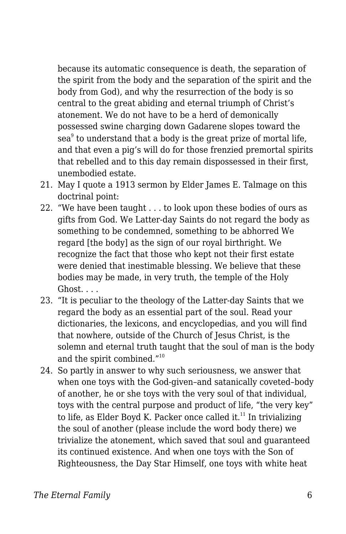because its automatic consequence is death, the separation of the spirit from the body and the separation of the spirit and the body from God), and why the resurrection of the body is so central to the great abiding and eternal triumph of Christ's atonement. We do not have to be a herd of demonically possessed swine charging down Gadarene slopes toward the  $\mathrm{sea}^9$  to understand that a body is the great prize of mortal life, and that even a pig's will do for those frenzied premortal spirits that rebelled and to this day remain dispossessed in their first, unembodied estate.

- 21. May I quote a 1913 sermon by Elder James E. Talmage on this doctrinal point:
- 22. "We have been taught . . . to look upon these bodies of ours as gifts from God. We Latter-day Saints do not regard the body as something to be condemned, something to be abhorred We regard [the body] as the sign of our royal birthright. We recognize the fact that those who kept not their first estate were denied that inestimable blessing. We believe that these bodies may be made, in very truth, the temple of the Holy Ghost. . . .
- 23. "It is peculiar to the theology of the Latter-day Saints that we regard the body as an essential part of the soul. Read your dictionaries, the lexicons, and encyclopedias, and you will find that nowhere, outside of the Church of Jesus Christ, is the solemn and eternal truth taught that the soul of man is the body and the spirit combined."<sup>10</sup>
- 24. So partly in answer to why such seriousness, we answer that when one toys with the God-given–and satanically coveted–body of another, he or she toys with the very soul of that individual, toys with the central purpose and product of life, "the very key" to life, as Elder Boyd K. Packer once called it. $11$  In trivializing the soul of another (please include the word body there) we trivialize the atonement, which saved that soul and guaranteed its continued existence. And when one toys with the Son of Righteousness, the Day Star Himself, one toys with white heat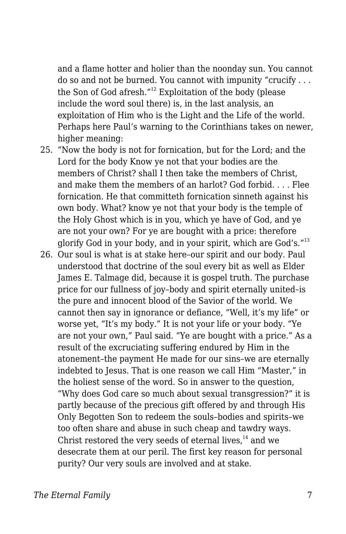and a flame hotter and holier than the noonday sun. You cannot do so and not be burned. You cannot with impunity "crucify . . . the Son of God afresh."<sup>12</sup> Exploitation of the body (please include the word soul there) is, in the last analysis, an exploitation of Him who is the Light and the Life of the world. Perhaps here Paul's warning to the Corinthians takes on newer, higher meaning:

- 25. "Now the body is not for fornication, but for the Lord; and the Lord for the body Know ye not that your bodies are the members of Christ? shall I then take the members of Christ, and make them the members of an harlot? God forbid. . . . Flee fornication. He that committeth fornication sinneth against his own body. What? know ye not that your body is the temple of the Holy Ghost which is in you, which ye have of God, and ye are not your own? For ye are bought with a price: therefore glorify God in your body, and in your spirit, which are God's."<sup>13</sup>
- 26. Our soul is what is at stake here–our spirit and our body. Paul understood that doctrine of the soul every bit as well as Elder James E. Talmage did, because it is gospel truth. The purchase price for our fullness of joy–body and spirit eternally united–is the pure and innocent blood of the Savior of the world. We cannot then say in ignorance or defiance, "Well, it's my life" or worse yet, "It's my body." It is not your life or your body. "Ye are not your own," Paul said. "Ye are bought with a price." As a result of the excruciating suffering endured by Him in the atonement–the payment He made for our sins–we are eternally indebted to Jesus. That is one reason we call Him "Master," in the holiest sense of the word. So in answer to the question, "Why does God care so much about sexual transgression?" it is partly because of the precious gift offered by and through His Only Begotten Son to redeem the souls–bodies and spirits–we too often share and abuse in such cheap and tawdry ways. Christ restored the very seeds of eternal lives, $14$  and we desecrate them at our peril. The first key reason for personal purity? Our very souls are involved and at stake.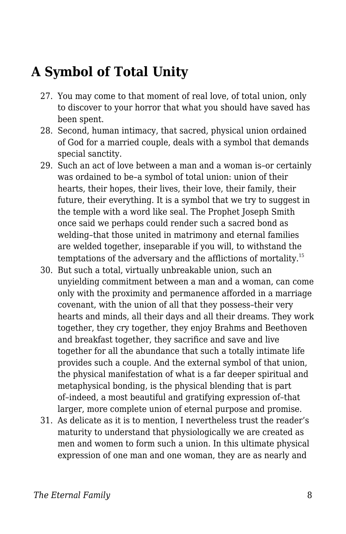### **A Symbol of Total Unity**

- 27. You may come to that moment of real love, of total union, only to discover to your horror that what you should have saved has been spent.
- 28. Second, human intimacy, that sacred, physical union ordained of God for a married couple, deals with a symbol that demands special sanctity.
- 29. Such an act of love between a man and a woman is–or certainly was ordained to be–a symbol of total union: union of their hearts, their hopes, their lives, their love, their family, their future, their everything. It is a symbol that we try to suggest in the temple with a word like seal. The Prophet Joseph Smith once said we perhaps could render such a sacred bond as welding–that those united in matrimony and eternal families are welded together, inseparable if you will, to withstand the temptations of the adversary and the afflictions of mortality.<sup>15</sup>
- 30. But such a total, virtually unbreakable union, such an unyielding commitment between a man and a woman, can come only with the proximity and permanence afforded in a marriage covenant, with the union of all that they possess–their very hearts and minds, all their days and all their dreams. They work together, they cry together, they enjoy Brahms and Beethoven and breakfast together, they sacrifice and save and live together for all the abundance that such a totally intimate life provides such a couple. And the external symbol of that union, the physical manifestation of what is a far deeper spiritual and metaphysical bonding, is the physical blending that is part of–indeed, a most beautiful and gratifying expression of–that larger, more complete union of eternal purpose and promise.
- 31. As delicate as it is to mention, I nevertheless trust the reader's maturity to understand that physiologically we are created as men and women to form such a union. In this ultimate physical expression of one man and one woman, they are as nearly and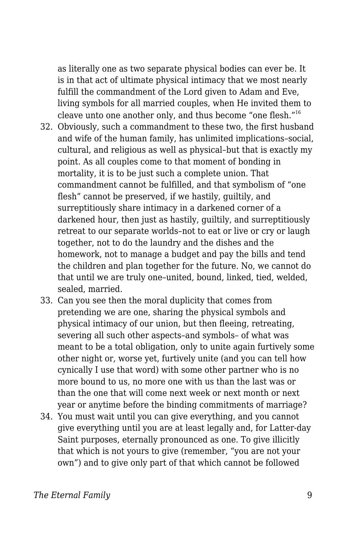as literally one as two separate physical bodies can ever be. It is in that act of ultimate physical intimacy that we most nearly fulfill the commandment of the Lord given to Adam and Eve, living symbols for all married couples, when He invited them to cleave unto one another only, and thus become "one flesh."<sup>16</sup>

- 32. Obviously, such a commandment to these two, the first husband and wife of the human family, has unlimited implications–social, cultural, and religious as well as physical–but that is exactly my point. As all couples come to that moment of bonding in mortality, it is to be just such a complete union. That commandment cannot be fulfilled, and that symbolism of "one flesh" cannot be preserved, if we hastily, guiltily, and surreptitiously share intimacy in a darkened corner of a darkened hour, then just as hastily, guiltily, and surreptitiously retreat to our separate worlds–not to eat or live or cry or laugh together, not to do the laundry and the dishes and the homework, not to manage a budget and pay the bills and tend the children and plan together for the future. No, we cannot do that until we are truly one–united, bound, linked, tied, welded, sealed, married.
- 33. Can you see then the moral duplicity that comes from pretending we are one, sharing the physical symbols and physical intimacy of our union, but then fleeing, retreating, severing all such other aspects–and symbols– of what was meant to be a total obligation, only to unite again furtively some other night or, worse yet, furtively unite (and you can tell how cynically I use that word) with some other partner who is no more bound to us, no more one with us than the last was or than the one that will come next week or next month or next year or anytime before the binding commitments of marriage?
- 34. You must wait until you can give everything, and you cannot give everything until you are at least legally and, for Latter-day Saint purposes, eternally pronounced as one. To give illicitly that which is not yours to give (remember, "you are not your own") and to give only part of that which cannot be followed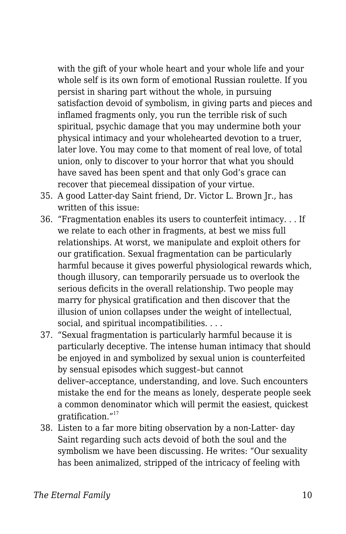with the gift of your whole heart and your whole life and your whole self is its own form of emotional Russian roulette. If you persist in sharing part without the whole, in pursuing satisfaction devoid of symbolism, in giving parts and pieces and inflamed fragments only, you run the terrible risk of such spiritual, psychic damage that you may undermine both your physical intimacy and your wholehearted devotion to a truer, later love. You may come to that moment of real love, of total union, only to discover to your horror that what you should have saved has been spent and that only God's grace can recover that piecemeal dissipation of your virtue.

- 35. A good Latter-day Saint friend, Dr. Victor L. Brown Jr., has written of this issue:
- 36. "Fragmentation enables its users to counterfeit intimacy. . . If we relate to each other in fragments, at best we miss full relationships. At worst, we manipulate and exploit others for our gratification. Sexual fragmentation can be particularly harmful because it gives powerful physiological rewards which, though illusory, can temporarily persuade us to overlook the serious deficits in the overall relationship. Two people may marry for physical gratification and then discover that the illusion of union collapses under the weight of intellectual, social, and spiritual incompatibilities. . . .
- 37. "Sexual fragmentation is particularly harmful because it is particularly deceptive. The intense human intimacy that should be enjoyed in and symbolized by sexual union is counterfeited by sensual episodes which suggest–but cannot deliver–acceptance, understanding, and love. Such encounters mistake the end for the means as lonely, desperate people seek a common denominator which will permit the easiest, quickest gratification."<sup>17</sup>
- 38. Listen to a far more biting observation by a non-Latter- day Saint regarding such acts devoid of both the soul and the symbolism we have been discussing. He writes: "Our sexuality has been animalized, stripped of the intricacy of feeling with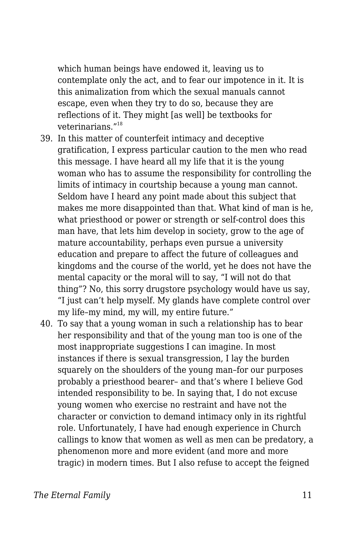which human beings have endowed it, leaving us to contemplate only the act, and to fear our impotence in it. It is this animalization from which the sexual manuals cannot escape, even when they try to do so, because they are reflections of it. They might [as well] be textbooks for veterinarians."<sup>18</sup>

- 39. In this matter of counterfeit intimacy and deceptive gratification, I express particular caution to the men who read this message. I have heard all my life that it is the young woman who has to assume the responsibility for controlling the limits of intimacy in courtship because a young man cannot. Seldom have I heard any point made about this subject that makes me more disappointed than that. What kind of man is he, what priesthood or power or strength or self-control does this man have, that lets him develop in society, grow to the age of mature accountability, perhaps even pursue a university education and prepare to affect the future of colleagues and kingdoms and the course of the world, yet he does not have the mental capacity or the moral will to say, "I will not do that thing"? No, this sorry drugstore psychology would have us say, "I just can't help myself. My glands have complete control over my life–my mind, my will, my entire future."
- 40. To say that a young woman in such a relationship has to bear her responsibility and that of the young man too is one of the most inappropriate suggestions I can imagine. In most instances if there is sexual transgression, I lay the burden squarely on the shoulders of the young man–for our purposes probably a priesthood bearer– and that's where I believe God intended responsibility to be. In saying that, I do not excuse young women who exercise no restraint and have not the character or conviction to demand intimacy only in its rightful role. Unfortunately, I have had enough experience in Church callings to know that women as well as men can be predatory, a phenomenon more and more evident (and more and more tragic) in modern times. But I also refuse to accept the feigned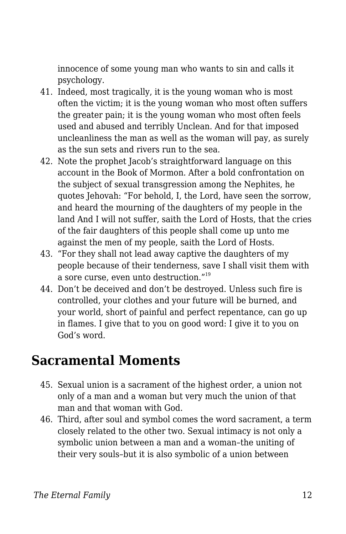innocence of some young man who wants to sin and calls it psychology.

- 41. Indeed, most tragically, it is the young woman who is most often the victim; it is the young woman who most often suffers the greater pain; it is the young woman who most often feels used and abused and terribly Unclean. And for that imposed uncleanliness the man as well as the woman will pay, as surely as the sun sets and rivers run to the sea.
- 42. Note the prophet Jacob's straightforward language on this account in the Book of Mormon. After a bold confrontation on the subject of sexual transgression among the Nephites, he quotes Jehovah: "For behold, I, the Lord, have seen the sorrow, and heard the mourning of the daughters of my people in the land And I will not suffer, saith the Lord of Hosts, that the cries of the fair daughters of this people shall come up unto me against the men of my people, saith the Lord of Hosts.
- 43. "For they shall not lead away captive the daughters of my people because of their tenderness, save I shall visit them with a sore curse, even unto destruction."<sup>19</sup>
- 44. Don't be deceived and don't be destroyed. Unless such fire is controlled, your clothes and your future will be burned, and your world, short of painful and perfect repentance, can go up in flames. I give that to you on good word: I give it to you on God's word.

#### **Sacramental Moments**

- 45. Sexual union is a sacrament of the highest order, a union not only of a man and a woman but very much the union of that man and that woman with God.
- 46. Third, after soul and symbol comes the word sacrament, a term closely related to the other two. Sexual intimacy is not only a symbolic union between a man and a woman–the uniting of their very souls–but it is also symbolic of a union between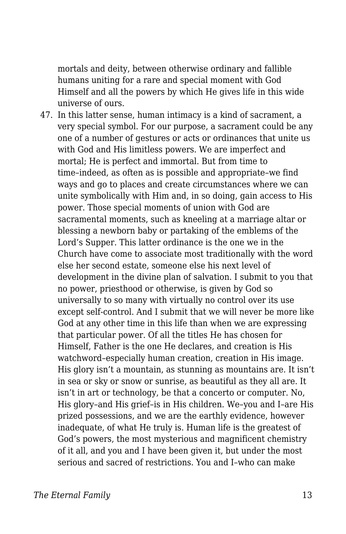mortals and deity, between otherwise ordinary and fallible humans uniting for a rare and special moment with God Himself and all the powers by which He gives life in this wide universe of ours.

47. In this latter sense, human intimacy is a kind of sacrament, a very special symbol. For our purpose, a sacrament could be any one of a number of gestures or acts or ordinances that unite us with God and His limitless powers. We are imperfect and mortal; He is perfect and immortal. But from time to time–indeed, as often as is possible and appropriate–we find ways and go to places and create circumstances where we can unite symbolically with Him and, in so doing, gain access to His power. Those special moments of union with God are sacramental moments, such as kneeling at a marriage altar or blessing a newborn baby or partaking of the emblems of the Lord's Supper. This latter ordinance is the one we in the Church have come to associate most traditionally with the word else her second estate, someone else his next level of development in the divine plan of salvation. I submit to you that no power, priesthood or otherwise, is given by God so universally to so many with virtually no control over its use except self-control. And I submit that we will never be more like God at any other time in this life than when we are expressing that particular power. Of all the titles He has chosen for Himself, Father is the one He declares, and creation is His watchword–especially human creation, creation in His image. His glory isn't a mountain, as stunning as mountains are. It isn't in sea or sky or snow or sunrise, as beautiful as they all are. It isn't in art or technology, be that a concerto or computer. No, His glory–and His grief–is in His children. We–you and I–are His prized possessions, and we are the earthly evidence, however inadequate, of what He truly is. Human life is the greatest of God's powers, the most mysterious and magnificent chemistry of it all, and you and I have been given it, but under the most serious and sacred of restrictions. You and I–who can make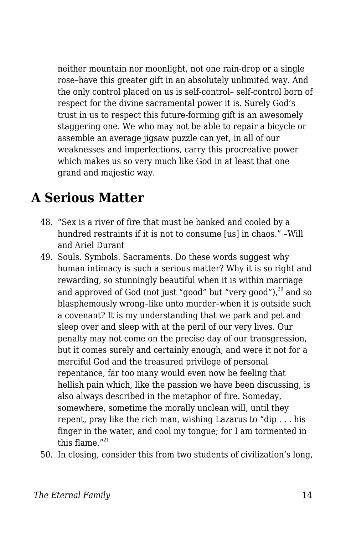neither mountain nor moonlight, not one rain-drop or a single rose–have this greater gift in an absolutely unlimited way. And the only control placed on us is self-control– self-control born of respect for the divine sacramental power it is. Surely God's trust in us to respect this future-forming gift is an awesomely staggering one. We who may not be able to repair a bicycle or assemble an average jigsaw puzzle can yet, in all of our weaknesses and imperfections, carry this procreative power which makes us so very much like God in at least that one grand and majestic way.

#### **A Serious Matter**

- 48. "Sex is a river of fire that must be banked and cooled by a hundred restraints if it is not to consume [us] in chaos." –Will and Ariel Durant
- 49. Souls. Symbols. Sacraments. Do these words suggest why human intimacy is such a serious matter? Why it is so right and rewarding, so stunningly beautiful when it is within marriage and approved of God (not just "good" but "very good"), $^{20}$  and so blasphemously wrong–like unto murder–when it is outside such a covenant? It is my understanding that we park and pet and sleep over and sleep with at the peril of our very lives. Our penalty may not come on the precise day of our transgression, but it comes surely and certainly enough, and were it not for a merciful God and the treasured privilege of personal repentance, far too many would even now be feeling that hellish pain which, like the passion we have been discussing, is also always described in the metaphor of fire. Someday, somewhere, sometime the morally unclean will, until they repent, pray like the rich man, wishing Lazarus to "dip . . . his finger in the water, and cool my tongue; for I am tormented in this flame. $"^{21}$
- 50. In closing, consider this from two students of civilization's long,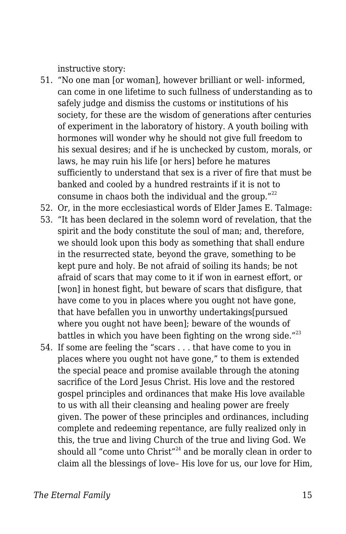instructive story:

- 51. "No one man [or woman], however brilliant or well- informed, can come in one lifetime to such fullness of understanding as to safely judge and dismiss the customs or institutions of his society, for these are the wisdom of generations after centuries of experiment in the laboratory of history. A youth boiling with hormones will wonder why he should not give full freedom to his sexual desires; and if he is unchecked by custom, morals, or laws, he may ruin his life [or hers] before he matures sufficiently to understand that sex is a river of fire that must be banked and cooled by a hundred restraints if it is not to consume in chaos both the individual and the group."<sup>22</sup>
- 52. Or, in the more ecclesiastical words of Elder James E. Talmage:
- 53. "It has been declared in the solemn word of revelation, that the spirit and the body constitute the soul of man; and, therefore, we should look upon this body as something that shall endure in the resurrected state, beyond the grave, something to be kept pure and holy. Be not afraid of soiling its hands; be not afraid of scars that may come to it if won in earnest effort, or [won] in honest fight, but beware of scars that disfigure, that have come to you in places where you ought not have gone, that have befallen you in unworthy undertakings[pursued where you ought not have been]; beware of the wounds of battles in which you have been fighting on the wrong side."<sup>23</sup>
- 54. If some are feeling the "scars . . . that have come to you in places where you ought not have gone," to them is extended the special peace and promise available through the atoning sacrifice of the Lord Jesus Christ. His love and the restored gospel principles and ordinances that make His love available to us with all their cleansing and healing power are freely given. The power of these principles and ordinances, including complete and redeeming repentance, are fully realized only in this, the true and living Church of the true and living God. We should all "come unto Christ"<sup>24</sup> and be morally clean in order to claim all the blessings of love– His love for us, our love for Him,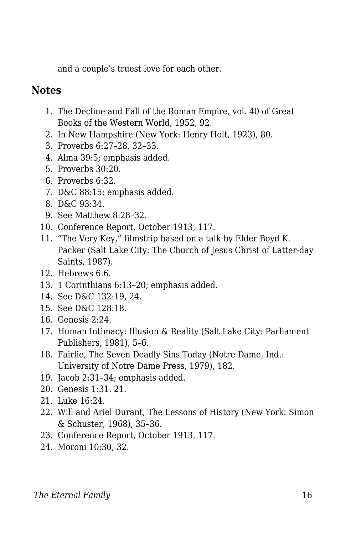and a couple's truest love for each other.

#### **Notes**

- 1. The Decline and Fall of the Roman Empire, vol. 40 of Great Books of the Western World, 1952, 92.
- 2. In New Hampshire (New York: Henry Holt, 1923), 80.
- 3. Proverbs 6:27–28, 32–33.
- 4. Alma 39:5; emphasis added.
- 5. Proverbs 30:20.
- 6. Proverbs 6:32.
- 7. D&C 88:15; emphasis added.
- 8. D&C 93:34.
- 9. See Matthew 8:28–32.
- 10. Conference Report, October 1913, 117.
- 11. "The Very Key," filmstrip based on a talk by Elder Boyd K. Packer (Salt Lake City: The Church of Jesus Christ of Latter-day Saints, 1987).
- 12. Hebrews 6:6.
- 13. 1 Corinthians 6:13–20; emphasis added.
- 14. See D&C 132:19, 24.
- 15. See D&C 128:18.
- 16. Genesis 2:24.
- 17. Human Intimacy: Illusion & Reality (Salt Lake City: Parliament Publishers, 1981), 5–6.
- 18. Fairlie, The Seven Deadly Sins Today (Notre Dame, Ind.: University of Notre Dame Press, 1979), 182.
- 19. Jacob 2:31–34; emphasis added.
- 20. Genesis 1:31. 21.
- 21. Luke 16:24.
- 22. Will and Ariel Durant, The Lessons of History (New York: Simon & Schuster, 1968), 35–36.
- 23. Conference Report, October 1913, 117.
- 24. Moroni 10:30, 32.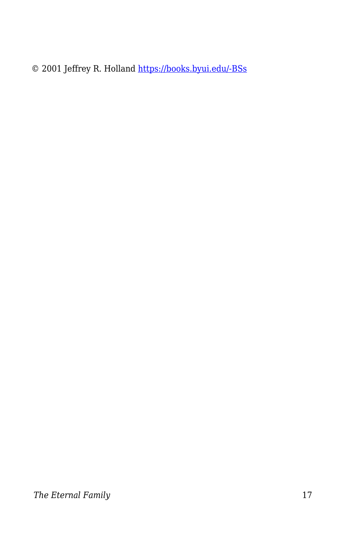© 2001 Jeffrey R. Holland [https://books.byui.edu/-BSs](https://speeches.byu.edu/talks/jeffrey-r-holland/souls-symbols-sacraments/)